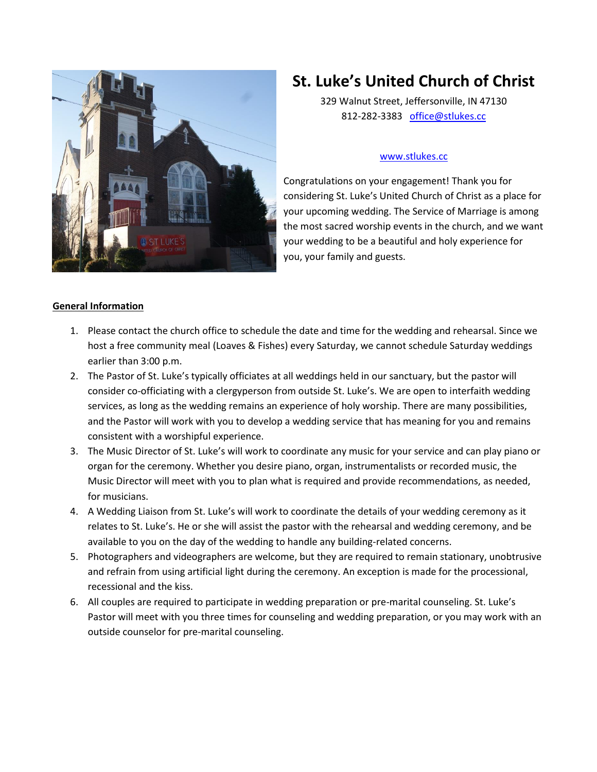

# **St. Luke's United Church of Christ**

329 Walnut Street, Jeffersonville, IN 47130 812-282-3383 [office@stlukes.cc](mailto:office@stlukes.cc)

#### [www.stlukes.cc](http://www.stlukes.cc/)

Congratulations on your engagement! Thank you for considering St. Luke's United Church of Christ as a place for your upcoming wedding. The Service of Marriage is among the most sacred worship events in the church, and we want your wedding to be a beautiful and holy experience for you, your family and guests.

### **General Information**

- 1. Please contact the church office to schedule the date and time for the wedding and rehearsal. Since we host a free community meal (Loaves & Fishes) every Saturday, we cannot schedule Saturday weddings earlier than 3:00 p.m.
- 2. The Pastor of St. Luke's typically officiates at all weddings held in our sanctuary, but the pastor will consider co-officiating with a clergyperson from outside St. Luke's. We are open to interfaith wedding services, as long as the wedding remains an experience of holy worship. There are many possibilities, and the Pastor will work with you to develop a wedding service that has meaning for you and remains consistent with a worshipful experience.
- 3. The Music Director of St. Luke's will work to coordinate any music for your service and can play piano or organ for the ceremony. Whether you desire piano, organ, instrumentalists or recorded music, the Music Director will meet with you to plan what is required and provide recommendations, as needed, for musicians.
- 4. A Wedding Liaison from St. Luke's will work to coordinate the details of your wedding ceremony as it relates to St. Luke's. He or she will assist the pastor with the rehearsal and wedding ceremony, and be available to you on the day of the wedding to handle any building-related concerns.
- 5. Photographers and videographers are welcome, but they are required to remain stationary, unobtrusive and refrain from using artificial light during the ceremony. An exception is made for the processional, recessional and the kiss.
- 6. All couples are required to participate in wedding preparation or pre-marital counseling. St. Luke's Pastor will meet with you three times for counseling and wedding preparation, or you may work with an outside counselor for pre-marital counseling.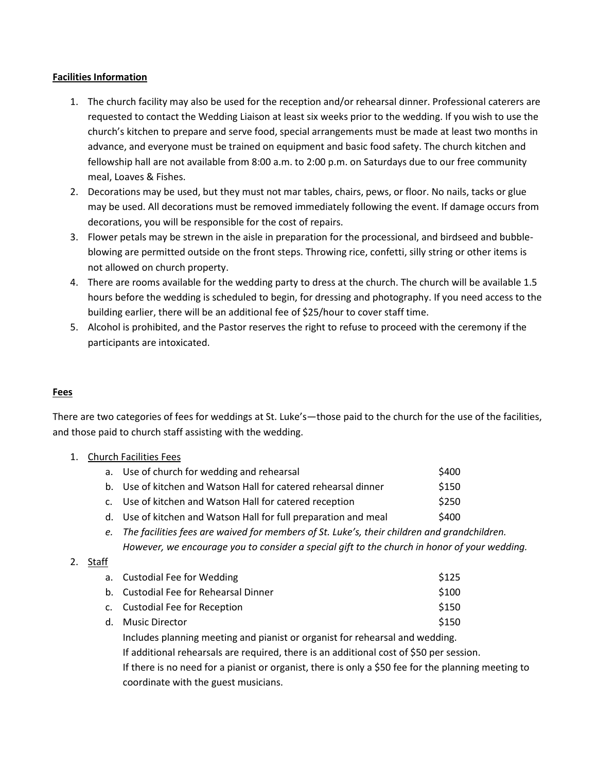#### **Facilities Information**

- 1. The church facility may also be used for the reception and/or rehearsal dinner. Professional caterers are requested to contact the Wedding Liaison at least six weeks prior to the wedding. If you wish to use the church's kitchen to prepare and serve food, special arrangements must be made at least two months in advance, and everyone must be trained on equipment and basic food safety. The church kitchen and fellowship hall are not available from 8:00 a.m. to 2:00 p.m. on Saturdays due to our free community meal, Loaves & Fishes.
- 2. Decorations may be used, but they must not mar tables, chairs, pews, or floor. No nails, tacks or glue may be used. All decorations must be removed immediately following the event. If damage occurs from decorations, you will be responsible for the cost of repairs.
- 3. Flower petals may be strewn in the aisle in preparation for the processional, and birdseed and bubbleblowing are permitted outside on the front steps. Throwing rice, confetti, silly string or other items is not allowed on church property.
- 4. There are rooms available for the wedding party to dress at the church. The church will be available 1.5 hours before the wedding is scheduled to begin, for dressing and photography. If you need access to the building earlier, there will be an additional fee of \$25/hour to cover staff time.
- 5. Alcohol is prohibited, and the Pastor reserves the right to refuse to proceed with the ceremony if the participants are intoxicated.

#### **Fees**

There are two categories of fees for weddings at St. Luke's—those paid to the church for the use of the facilities, and those paid to church staff assisting with the wedding.

1. Church Facilities Fees

| a. Use of church for wedding and rehearsal                                                     | \$400 |  |
|------------------------------------------------------------------------------------------------|-------|--|
| b. Use of kitchen and Watson Hall for catered rehearsal dinner                                 | \$150 |  |
| c. Use of kitchen and Watson Hall for catered reception                                        | \$250 |  |
| d. Use of kitchen and Watson Hall for full preparation and meal                                | \$400 |  |
| e. The facilities fees are waived for members of St. Luke's, their children and grandchildren. |       |  |
| However, we encourage you to consider a special gift to the church in honor of your wedding.   |       |  |

#### 2. Staff

|  | a. Custodial Fee for Wedding                                                                                                                                                                                                                                                   | \$125 |  |
|--|--------------------------------------------------------------------------------------------------------------------------------------------------------------------------------------------------------------------------------------------------------------------------------|-------|--|
|  | b. Custodial Fee for Rehearsal Dinner                                                                                                                                                                                                                                          | \$100 |  |
|  | c. Custodial Fee for Reception                                                                                                                                                                                                                                                 | \$150 |  |
|  | d. Music Director                                                                                                                                                                                                                                                              | \$150 |  |
|  | Includes planning meeting and pianist or organist for rehearsal and wedding.<br>If additional rehearsals are required, there is an additional cost of \$50 per session.<br>If there is no need for a pianist or organist, there is only a \$50 fee for the planning meeting to |       |  |
|  |                                                                                                                                                                                                                                                                                |       |  |
|  |                                                                                                                                                                                                                                                                                |       |  |
|  |                                                                                                                                                                                                                                                                                |       |  |

coordinate with the guest musicians.